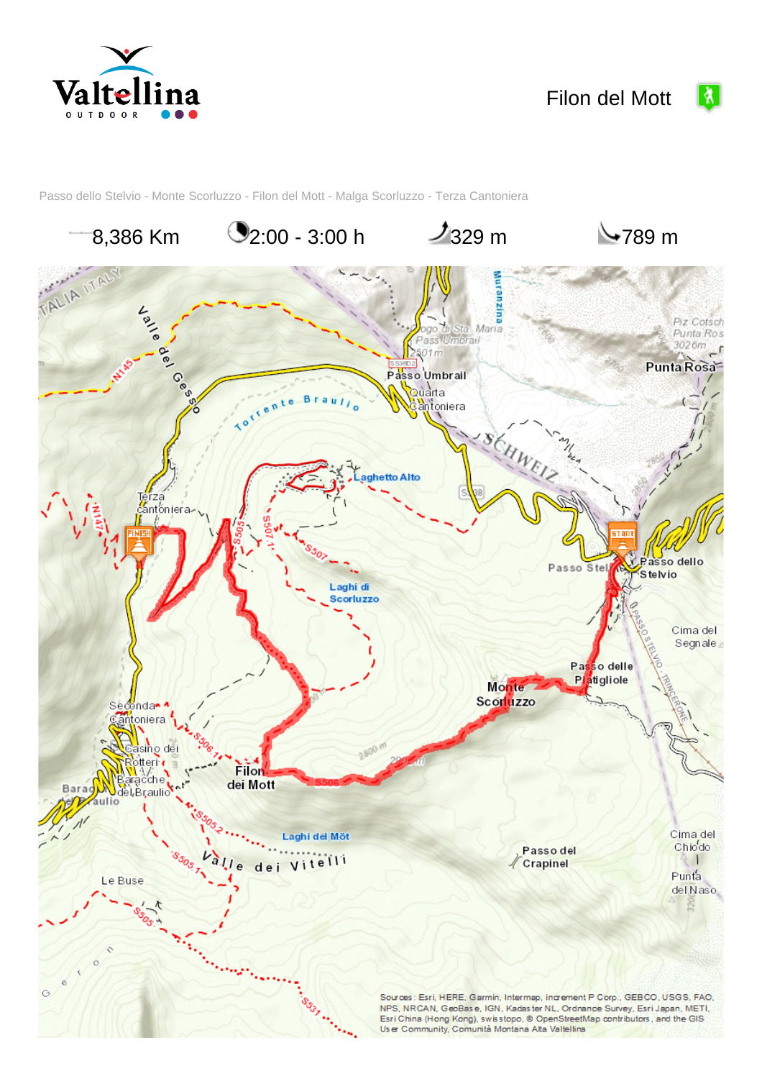



 $\boxed{\lambda}$ 

Passo dello Stelvio - Monte Scorluzzo - Filon del Mott - Malga Scorluzzo - Terza Cantoniera